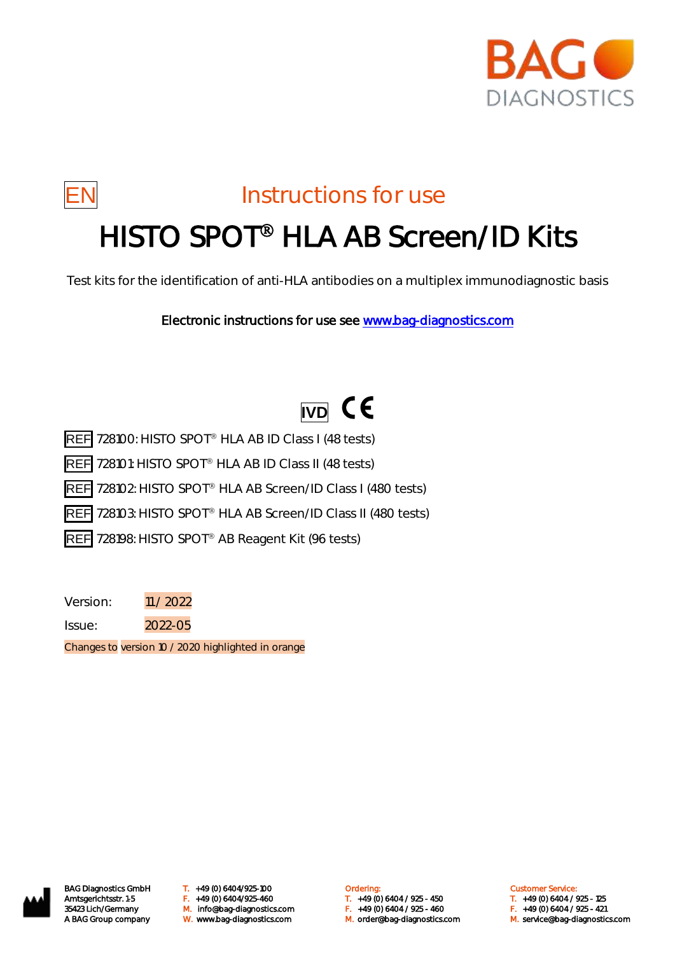



## EN Instructions for use

# HISTO SPOT<sup>®</sup> HLA AB Screen/ID Kits

Test kits for the identification of anti-HLA antibodies on a multiplex immunodiagnostic basis

Electronic instructions for use see [www.bag-diagnostics.com](http://www.bag-diagnostics.com/) 

# **IVD** CE

REF 728100: HISTO SPOT<sup>®</sup> HLA AB ID Class I (48 tests)

REF 728101: HISTO SPOT<sup>®</sup> HLA AB ID Class II (48 tests)

REF 728102: HISTO SPOT<sup>®</sup> HLA AB Screen/ID Class I (480 tests)

REF 728103: HISTO SPOT<sup>®</sup> HLA AB Screen/ID Class II (480 tests)

REF 728198: HISTO SPOT<sup>®</sup> AB Reagent Kit (96 tests)

Version: 11 / 2022

Issue: 2022-05

Changes to version 10 / 2020 highlighted in orange



BAG Diagnostics GmbH T. +49 (0) 6404/925-100 **Cambridge Condering:** Customer Service: Customer Service: M. orderlang-

Amtsgerichtsstr. 1-5 F. +49 (0) 6404/925-460 T. +49 (0) 6404 / 925 - 450 T. +49 (0) 6404 / 925 - 125 35423 Lich/Germany M. info@bag-diagnostics.com F. +49 (0) 6404 / 925 - 460 F. +49 (0) 6404 / 925 - 421

- 
- A BAG Group company W. www.bag-diagnostics.com M. order@bag-diagnostics.com M. service@bag-diagnostics.com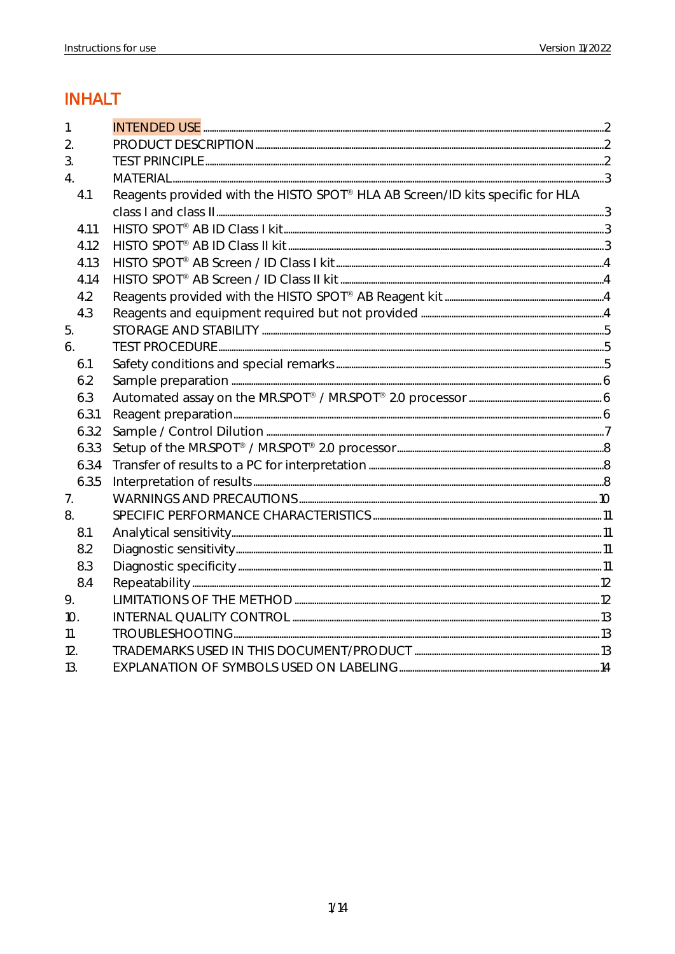### **INHALT**

| $\mathbf{1}$     |       |                                                                               |  |
|------------------|-------|-------------------------------------------------------------------------------|--|
| $\overline{2}$ . |       |                                                                               |  |
| 3.               |       |                                                                               |  |
| $\overline{4}$ . |       |                                                                               |  |
|                  | 4.1   | Reagents provided with the HISTO SPOT® HLA AB Screen/ID kits specific for HLA |  |
|                  |       |                                                                               |  |
|                  | 4.1.1 |                                                                               |  |
|                  | 4.1.2 |                                                                               |  |
|                  | 4.1.3 |                                                                               |  |
|                  | 4.1.4 |                                                                               |  |
|                  | 4.2   |                                                                               |  |
|                  | 4.3   |                                                                               |  |
| 5.               |       |                                                                               |  |
| 6.               |       |                                                                               |  |
|                  | 6.1   |                                                                               |  |
|                  | 6.2   |                                                                               |  |
|                  | 6.3   |                                                                               |  |
|                  | 6.3.1 |                                                                               |  |
|                  | 6.3.2 |                                                                               |  |
|                  | 6.3.3 |                                                                               |  |
|                  | 6.3.4 |                                                                               |  |
|                  | 6.3.5 |                                                                               |  |
| 7.               |       |                                                                               |  |
| 8.               |       |                                                                               |  |
|                  | 8.1   |                                                                               |  |
|                  | 8.2   |                                                                               |  |
|                  | 8.3   |                                                                               |  |
|                  | 8.4   |                                                                               |  |
| 9.               |       |                                                                               |  |
| 10 <sub>1</sub>  |       |                                                                               |  |
| 11.              |       |                                                                               |  |
| 12.              |       |                                                                               |  |
| 13.              |       |                                                                               |  |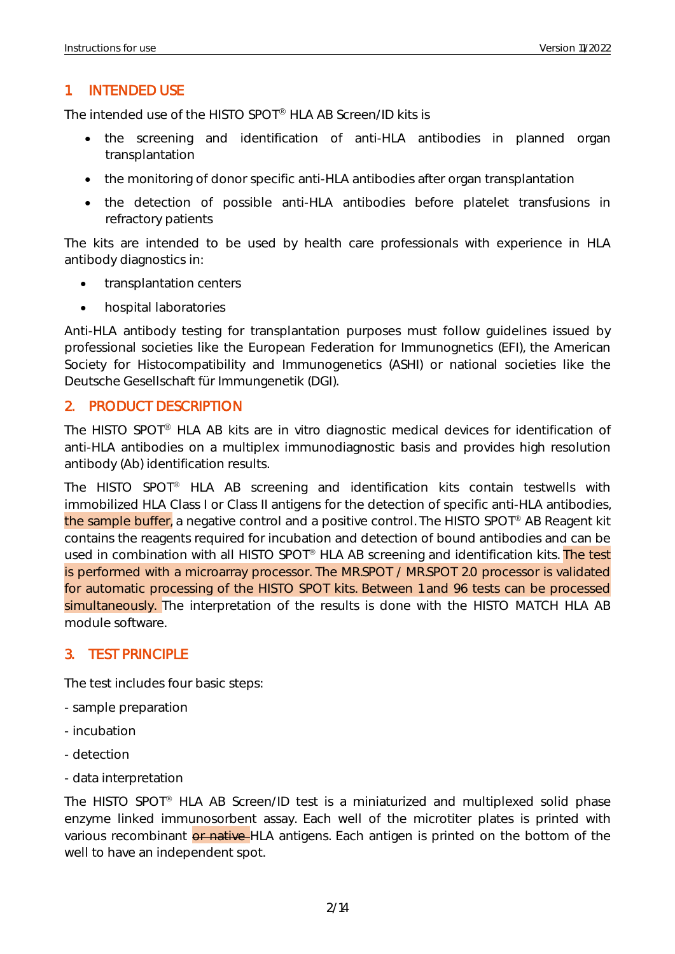#### <span id="page-2-0"></span>1. INTENDED USE

The intended use of the HISTO SPOT<sup>®</sup> HLA AB Screen/ID kits is

- the screening and identification of anti-HLA antibodies in planned organ transplantation
- the monitoring of donor specific anti-HLA antibodies after organ transplantation
- the detection of possible anti-HLA antibodies before platelet transfusions in refractory patients

The kits are intended to be used by health care professionals with experience in HLA antibody diagnostics in:

- transplantation centers
- hospital laboratories

Anti-HLA antibody testing for transplantation purposes must follow guidelines issued by professional societies like the European Federation for Immunognetics (EFI), the American Society for Histocompatibility and Immunogenetics (ASHI) or national societies like the Deutsche Gesellschaft für Immungenetik (DGI).

#### <span id="page-2-1"></span>2. PRODUCT DESCRIPTION

The HISTO SPOT® HLA AB kits are in vitro diagnostic medical devices for identification of anti-HLA antibodies on a multiplex immunodiagnostic basis and provides high resolution antibody (Ab) identification results.

The HISTO SPOT® HLA AB screening and identification kits contain testwells with immobilized HLA Class I or Class II antigens for the detection of specific anti-HLA antibodies, the sample buffer, a negative control and a positive control. The HISTO SPOT<sup>®</sup> AB Reagent kit contains the reagents required for incubation and detection of bound antibodies and can be used in combination with all HISTO SPOT<sup>®</sup> HLA AB screening and identification kits. The test is performed with a microarray processor. The MR.SPOT / MR.SPOT 2.0 processor is validated for automatic processing of the HISTO SPOT kits. Between 1 and 96 tests can be processed simultaneously. The interpretation of the results is done with the HISTO MATCH HLA AB module software.

#### <span id="page-2-2"></span>3. TEST PRINCIPLE

The test includes four basic steps:

- sample preparation
- incubation
- detection
- data interpretation

The HISTO SPOT<sup>®</sup> HLA AB Screen/ID test is a miniaturized and multiplexed solid phase enzyme linked immunosorbent assay. Each well of the microtiter plates is printed with various recombinant or native HLA antigens. Each antigen is printed on the bottom of the well to have an independent spot.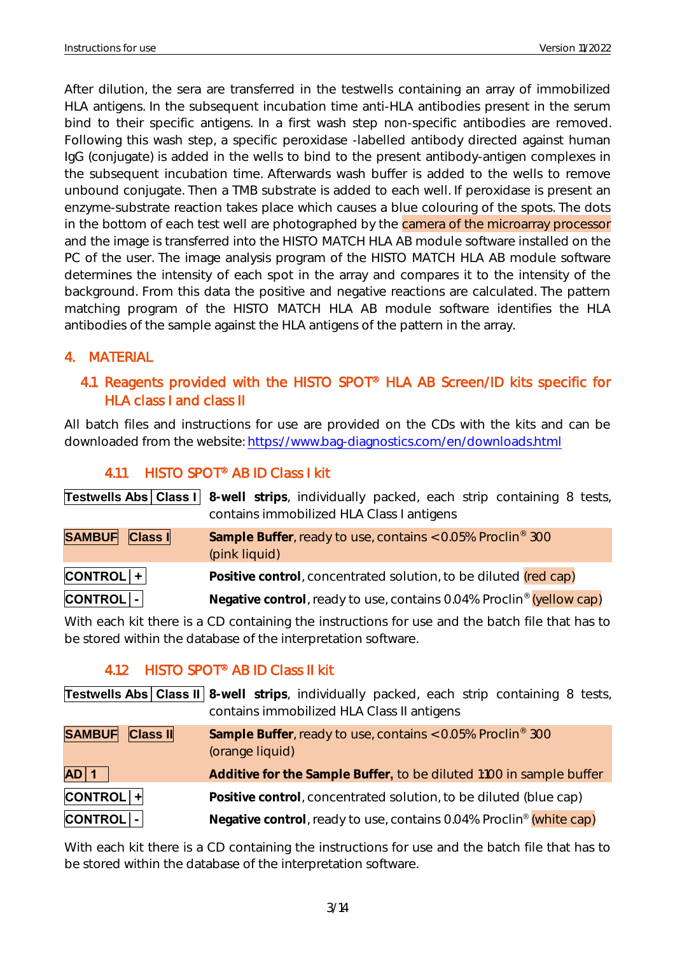After dilution, the sera are transferred in the testwells containing an array of immobilized HLA antigens. In the subsequent incubation time anti-HLA antibodies present in the serum bind to their specific antigens. In a first wash step non-specific antibodies are removed. Following this wash step, a specific peroxidase -labelled antibody directed against human IgG (conjugate) is added in the wells to bind to the present antibody-antigen complexes in the subsequent incubation time. Afterwards wash buffer is added to the wells to remove unbound conjugate. Then a TMB substrate is added to each well. If peroxidase is present an enzyme-substrate reaction takes place which causes a blue colouring of the spots. The dots in the bottom of each test well are photographed by the camera of the microarray processor and the image is transferred into the HISTO MATCH HLA AB module software installed on the PC of the user. The image analysis program of the HISTO MATCH HLA AB module software determines the intensity of each spot in the array and compares it to the intensity of the background. From this data the positive and negative reactions are calculated. The pattern matching program of the HISTO MATCH HLA AB module software identifies the HLA antibodies of the sample against the HLA antigens of the pattern in the array.

#### <span id="page-3-1"></span><span id="page-3-0"></span>4. MATERIAL

#### 4.1 Reagents provided with the HISTO SPOT<sup>®</sup> HLA AB Screen/ID kits specific for HLA class I and class II

All batch files and instructions for use are provided on the CDs with the kits and can be downloaded from the website:<https://www.bag-diagnostics.com/en/downloads.html>

### 4.1.1 HISTO SPOT<sup>®</sup> AB ID Class I kit

<span id="page-3-2"></span>

|                 | <b>Testwells Abs   Class I</b>   8-well strips, individually packed, each strip containing 8 tests,<br>contains immobilized HLA Class I antigens |
|-----------------|--------------------------------------------------------------------------------------------------------------------------------------------------|
| SAMBUF Class I  | Sample Buffer, ready to use, contains < 0.05% Proclin® 300<br>(pink liquid)                                                                      |
| $ CONTROL  +  $ | Positive control, concentrated solution, to be diluted (red cap)                                                                                 |
| $ CONTROL $ -   | Negative control, ready to use, contains 0.04% Proclin <sup>®</sup> (yellow cap)                                                                 |

With each kit there is a CD containing the instructions for use and the batch file that has to be stored within the database of the interpretation software.

### 4.1.2 HISTO SPOT<sup>®</sup> AB ID Class II kit

<span id="page-3-3"></span>**Testwells Abs│Class II 8-well strips**, individually packed, each strip containing 8 tests, contains immobilized HLA Class II antigens **SAMBUF Class II** Sample Buffer, ready to use, contains < 0.05% Proclin<sup>®</sup> 300 (orange liquid) **AD│1 Additive for the Sample Buffer,** to be diluted 1:100 in sample buffer **CONTROL│+ Positive control**, concentrated solution, to be diluted (blue cap) **CONTROL│- Negative control**, ready to use, contains 0.04% Proclin® (white cap)

With each kit there is a CD containing the instructions for use and the batch file that has to be stored within the database of the interpretation software.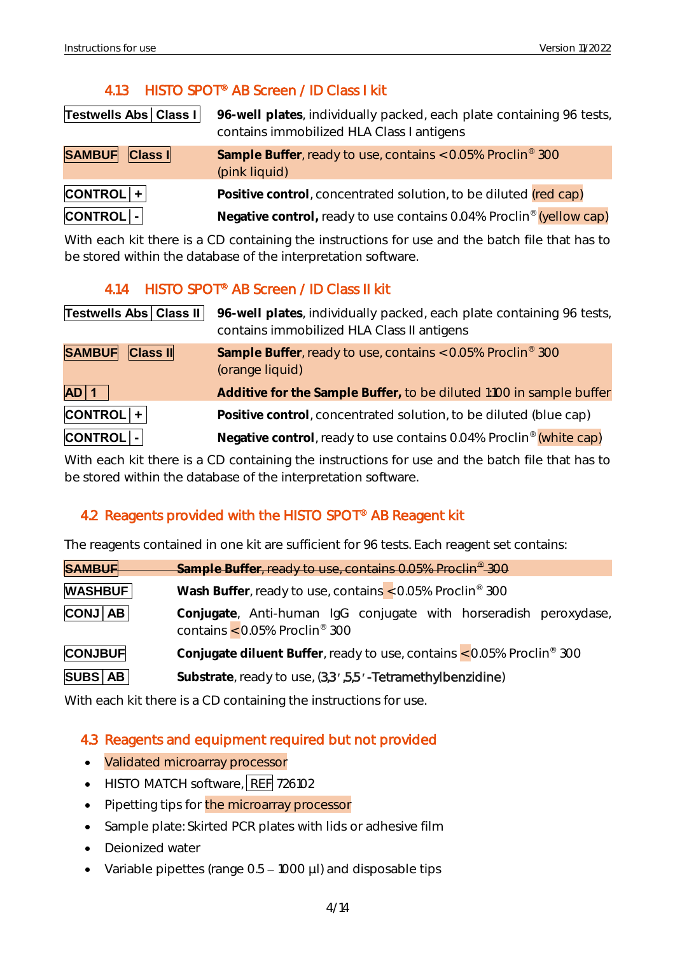#### 4.1.3 HISTO SPOT<sup>®</sup> AB Screen / ID Class I kit

<span id="page-4-0"></span>

| Testwells Abs   Class I | 96-well plates, individually packed, each plate containing 96 tests,<br>contains immobilized HLA Class I antigens |
|-------------------------|-------------------------------------------------------------------------------------------------------------------|
| SAMBUF Class I          | Sample Buffer, ready to use, contains < 0.05% Proclin® 300<br>(pink liquid)                                       |
| $\textsf{CONTROL}$ +    | Positive control, concentrated solution, to be diluted (red cap)                                                  |
| CONTROL -               | Negative control, ready to use contains 0.04% Proclin® (yellow cap)                                               |

With each kit there is a CD containing the instructions for use and the batch file that has to be stored within the database of the interpretation software.

#### 4.1.4 HISTO SPOT<sup>®</sup> AB Screen / ID Class II kit

<span id="page-4-1"></span>

| Testwells Abs   Class II         | 96-well plates, individually packed, each plate containing 96 tests,<br>contains immobilized HLA Class II antigens |
|----------------------------------|--------------------------------------------------------------------------------------------------------------------|
| <b>SAMBUF</b><br><b>Class II</b> | Sample Buffer, ready to use, contains < 0.05% Proclin® 300<br>(orange liquid)                                      |
| $AD$ 1                           | Additive for the Sample Buffer, to be diluted 1:100 in sample buffer                                               |
| $ CONTROL  +  $                  | Positive control, concentrated solution, to be diluted (blue cap)                                                  |
| CONTROL -                        | Negative control, ready to use contains 0.04% Proclin® (white cap)                                                 |

With each kit there is a CD containing the instructions for use and the batch file that has to be stored within the database of the interpretation software.

#### <span id="page-4-2"></span>4.2 Reagents provided with the HISTO SPOT® AB Reagent kit

The reagents contained in one kit are sufficient for 96 tests. Each reagent set contains:

| <b>SAMBUF</b>                                                                           | Sample Buffer, ready to use, contains 0.05% Proclin <sup>®</sup> 300                                            |  |  |
|-----------------------------------------------------------------------------------------|-----------------------------------------------------------------------------------------------------------------|--|--|
| <b>WASHBUF</b>                                                                          | Wash Buffer, ready to use, contains < 0.05% Proclin® 300                                                        |  |  |
| $\overline{CONJ}$ $AB$                                                                  | Conjugate, Anti-human IgG conjugate with horseradish peroxydase,<br>contains $<$ 0.05% Proclin <sup>®</sup> 300 |  |  |
| Conjugate diluent Buffer, ready to use, contains < 0.05% Proclin® 300<br><b>CONJBUF</b> |                                                                                                                 |  |  |
| SUBS   AB                                                                               | Substrate, ready to use, (3,3, .5,5, .- Tetramethylbenzidine)                                                   |  |  |

With each kit there is a CD containing the instructions for use.

#### <span id="page-4-3"></span>4.3 Reagents and equipment required but not provided

- Validated microarray processor
- HISTO MATCH software, REF 726102
- Pipetting tips for the microarray processor
- Sample plate: Skirted PCR plates with lids or adhesive film
- Deionized water
- Variable pipettes (range  $0.5 1000$   $\mu$ I) and disposable tips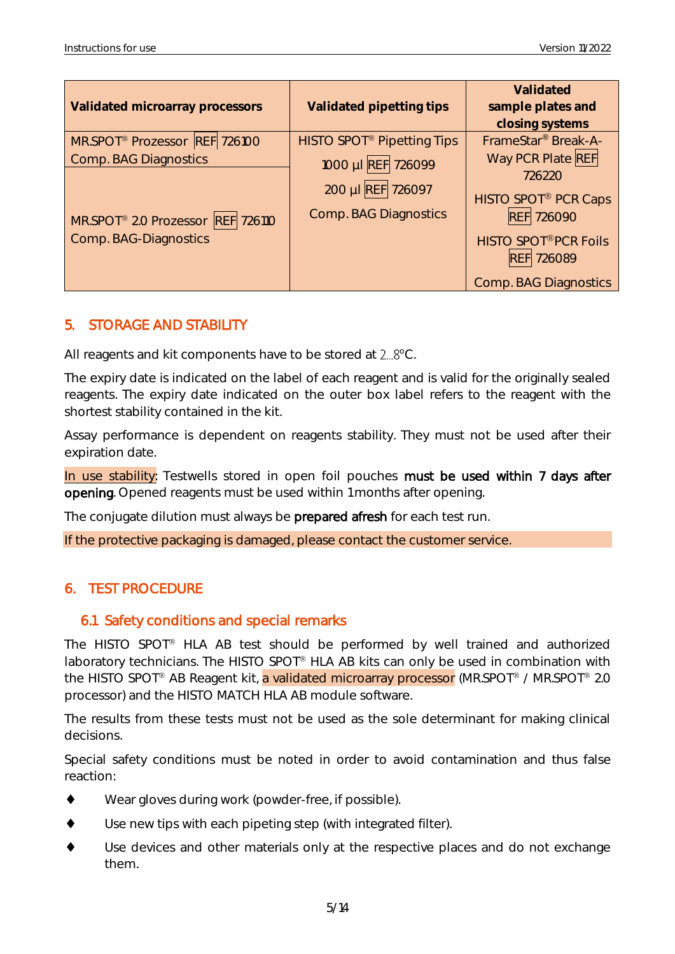| Validated microarray processors               | Validated pipetting tips                     | Validated<br>sample plates and<br>closing systems |
|-----------------------------------------------|----------------------------------------------|---------------------------------------------------|
| MR.SPOT <sup>®</sup> Prozessor REF 726100     | <b>HISTO SPOT<sup>®</sup> Pipetting Tips</b> | FrameStar <sup>®</sup> Break-A-                   |
| Comp. BAG Diagnostics                         | 1000 µI REF 726099                           | Way PCR Plate REF<br>726220                       |
| MR.SPOT <sup>®</sup> 2.0 Prozessor REF 726110 | 200 µl REF 726097<br>Comp. BAG Diagnostics   | <b>HISTO SPOT® PCR Caps</b><br><b>REF 726090</b>  |
| Comp. BAG-Diagnostics                         |                                              | <b>HISTO SPOT®PCR Foils</b><br><b>REF 726089</b>  |
|                                               |                                              | Comp. BAG Diagnostics                             |

#### <span id="page-5-0"></span>5. STORAGE AND STABILITY

All reagents and kit components have to be stored at  $2...8$ °C.

The expiry date is indicated on the label of each reagent and is valid for the originally sealed reagents. The expiry date indicated on the outer box label refers to the reagent with the shortest stability contained in the kit.

Assay performance is dependent on reagents stability. They must not be used after their expiration date.

In use stability: Testwells stored in open foil pouches must be used within 7 days after opening. Opened reagents must be used within 1 months after opening.

The conjugate dilution must always be **prepared afresh** for each test run.

If the protective packaging is damaged, please contact the customer service.

#### <span id="page-5-1"></span>6. TEST PROCEDURE

#### <span id="page-5-2"></span>6.1 Safety conditions and special remarks

The HISTO SPOT<sup>®</sup> HLA AB test should be performed by well trained and authorized laboratory technicians. The HISTO SPOT® HLA AB kits can only be used in combination with the HISTO SPOT<sup>®</sup> AB Reagent kit, a validated microarray processor (MR.SPOT<sup>®</sup> / MR.SPOT<sup>®</sup> 2.0 processor) and the HISTO MATCH HLA AB module software.

The results from these tests must not be used as the sole determinant for making clinical decisions.

Special safety conditions must be noted in order to avoid contamination and thus false reaction:

- Wear gloves during work (powder-free, if possible).
- Use new tips with each pipeting step (with integrated filter).
- Use devices and other materials only at the respective places and do not exchange them.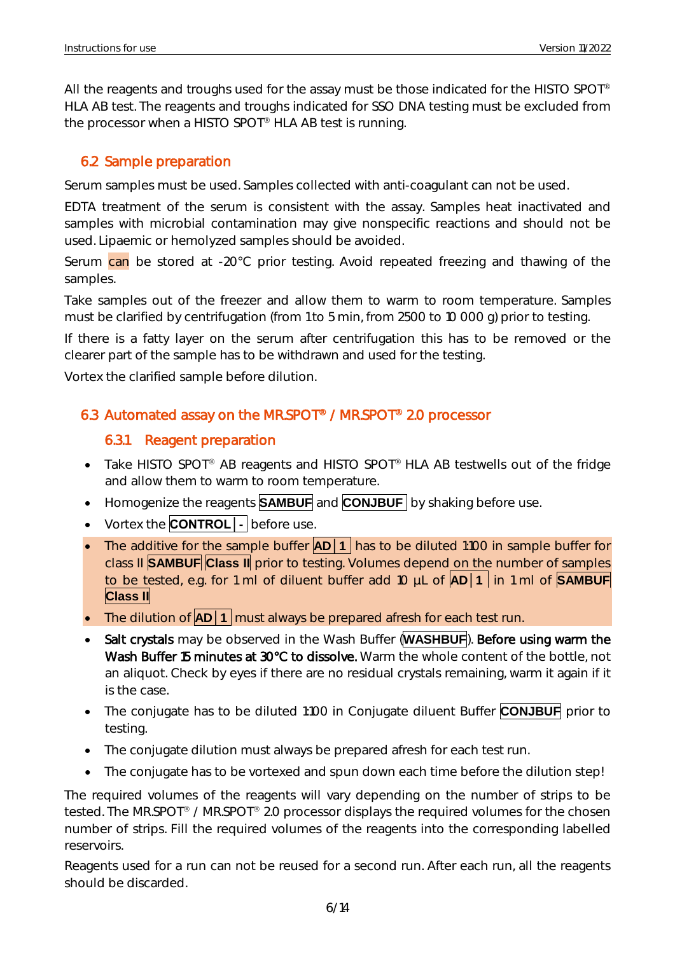All the reagents and troughs used for the assay must be those indicated for the HISTO SPOT<sup>®</sup> HLA AB test. The reagents and troughs indicated for SSO DNA testing must be excluded from the processor when a HISTO SPOT<sup>®</sup> HLA AB test is running.

#### <span id="page-6-0"></span>6.2 Sample preparation

Serum samples must be used. Samples collected with anti-coagulant can not be used.

EDTA treatment of the serum is consistent with the assay. Samples heat inactivated and samples with microbial contamination may give nonspecific reactions and should not be used. Lipaemic or hemolyzed samples should be avoided.

Serum  $can$  be stored at -20 $^{\circ}$ C prior testing. Avoid repeated freezing and thawing of the samples.

Take samples out of the freezer and allow them to warm to room temperature. Samples must be clarified by centrifugation (from 1 to 5 min, from 2500 to 10 000 g) prior to testing.

If there is a fatty layer on the serum after centrifugation this has to be removed or the clearer part of the sample has to be withdrawn and used for the testing.

Vortex the clarified sample before dilution.

#### <span id="page-6-2"></span><span id="page-6-1"></span>6.3 Automated assay on the MR.SPOT<sup>®</sup> / MR.SPOT<sup>®</sup> 2.0 processor

#### 6.3.1 Reagent preparation

- Take HISTO SPOT® AB reagents and HISTO SPOT® HLA AB testwells out of the fridge and allow them to warm to room temperature.
- Homogenize the reagents **SAMBUF** and **CONJBUF** by shaking before use.
- Vortex the **CONTROL** | **before use.**
- The additive for the sample buffer **AD** | 1 has to be diluted 1:100 in sample buffer for class II **SAMBUF Class II** prior to testing. Volumes depend on the number of samples to be tested, e.g. for 1 ml of diluent buffer add 10 µL of **AD│1** in 1 ml of **SAMBUF Class II**
- The dilution of **AD** | 1 | must always be prepared afresh for each test run.
- Salt crystals may be observed in the Wash Buffer (**WASHBUF**). Before using warm the Wash Buffer 15 minutes at 30°C to dissolve. Warm the whole content of the bottle, not an aliquot. Check by eyes if there are no residual crystals remaining, warm it again if it is the case.
- The conjugate has to be diluted 1:100 in Conjugate diluent Buffer **CONJBUF** prior to testing.
- The conjugate dilution must always be prepared afresh for each test run.
- The conjugate has to be vortexed and spun down each time before the dilution step!

The required volumes of the reagents will vary depending on the number of strips to be tested. The MR.SPOT® / MR.SPOT® 2.0 processor displays the required volumes for the chosen number of strips. Fill the required volumes of the reagents into the corresponding labelled reservoirs.

Reagents used for a run can not be reused for a second run. After each run, all the reagents should be discarded.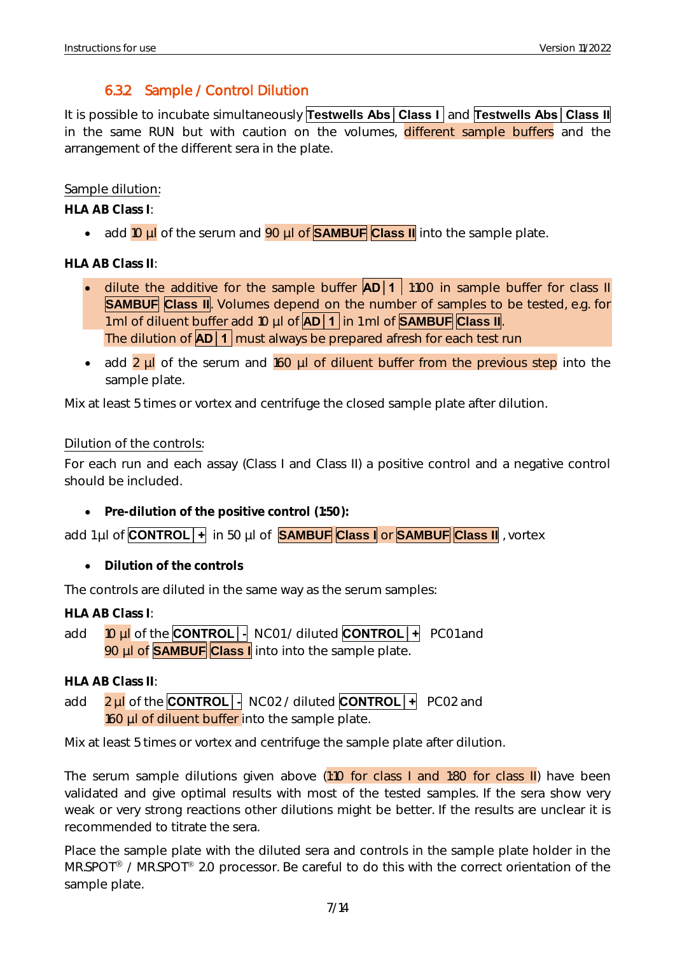### 6.3.2 Sample / Control Dilution

<span id="page-7-0"></span>It is possible to incubate simultaneously **Testwells Abs│Class I** and **Testwells Abs│Class II** in the same RUN but with caution on the volumes, different sample buffers and the arrangement of the different sera in the plate.

#### Sample dilution:

**HLA AB Class I**:

• add 10 µl of the serum and 90 µl of **SAMBUF Class II** into the sample plate.

**HLA AB Class II**:

- dilute the additive for the sample buffer **AD** 1 1:100 in sample buffer for class II **SAMBUF Class II**. Volumes depend on the number of samples to be tested, e.g. for 1 ml of diluent buffer add 10 µl of **AD│1** in 1 ml of **SAMBUF Class II**. The dilution of **AD│1** must always be prepared afresh for each test run
- add 2 µl of the serum and 160 µl of diluent buffer from the previous step into the sample plate.

Mix at least 5 times or vortex and centrifuge the closed sample plate after dilution.

#### Dilution of the controls:

For each run and each assay (Class I and Class II) a positive control and a negative control should be included.

• **Pre-dilution of the positive control (1:50):**

add 1 µl of **CONTROL│+** in 50 µl of **SAMBUF Class I** or **SAMBUF Class II** , vortex

• **Dilution of the controls**

The controls are diluted in the same way as the serum samples:

**HLA AB Class I**:

add 10 µl of the **CONTROL│-** NC01 / diluted **CONTROL│+** PC01 and 90 µl of **SAMBUF Class I** into into the sample plate.

**HLA AB Class II**:

add 2 µl of the **CONTROL│-** NC02 / diluted **CONTROL│+** PC02 and 160 µl of diluent buffer into the sample plate.

Mix at least 5 times or vortex and centrifuge the sample plate after dilution.

The serum sample dilutions given above (1:10 for class I and 1:80 for class II) have been validated and give optimal results with most of the tested samples. If the sera show very weak or very strong reactions other dilutions might be better. If the results are unclear it is recommended to titrate the sera.

Place the sample plate with the diluted sera and controls in the sample plate holder in the MR.SPOT<sup>®</sup> / MR.SPOT<sup>®</sup> 2.0 processor. Be careful to do this with the correct orientation of the sample plate.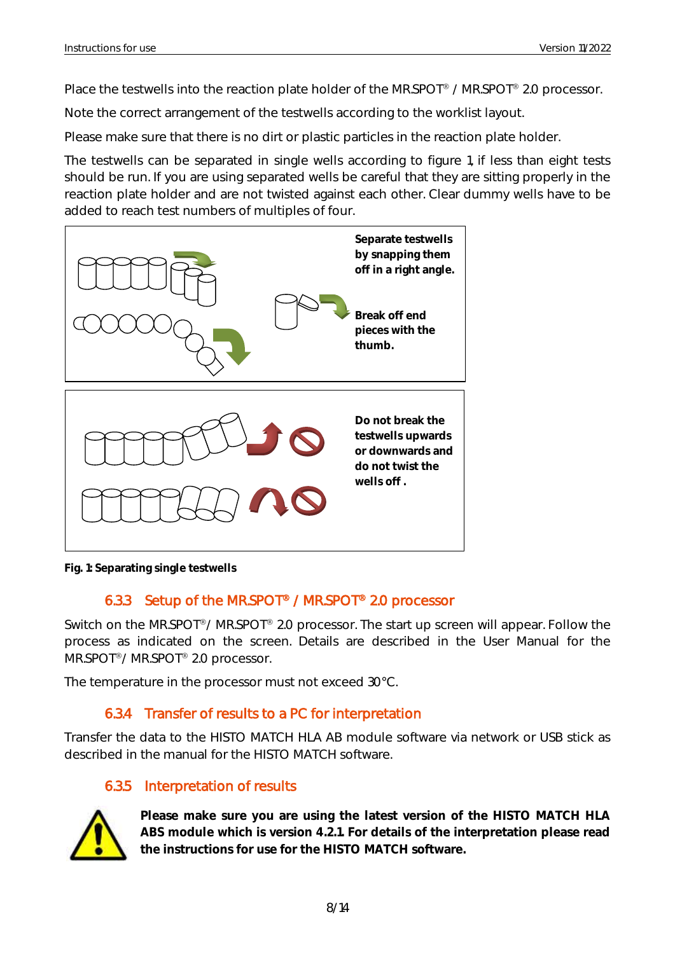Place the testwells into the reaction plate holder of the MR.SPOT<sup>®</sup> / MR.SPOT<sup>®</sup> 2.0 processor.

Note the correct arrangement of the testwells according to the worklist layout.

Please make sure that there is no dirt or plastic particles in the reaction plate holder.

The testwells can be separated in single wells according to figure 1, if less than eight tests should be run. If you are using separated wells be careful that they are sitting properly in the reaction plate holder and are not twisted against each other. Clear dummy wells have to be added to reach test numbers of multiples of four.



<span id="page-8-0"></span>**Fig. 1: Separating single testwells**

#### 6.3.3 Setup of the MR.SPOT<sup>®</sup> / MR.SPOT<sup>®</sup> 2.0 processor

Switch on the MR.SPOT<sup>®</sup>/ MR.SPOT<sup>®</sup> 2.0 processor. The start up screen will appear. Follow the process as indicated on the screen. Details are described in the User Manual for the MR.SPOT<sup>®</sup>/ MR.SPOT<sup>®</sup> 2.0 processor.

The temperature in the processor must not exceed 30°C.

#### 6.3.4 Transfer of results to a PC for interpretation

<span id="page-8-1"></span>Transfer the data to the HISTO MATCH HLA AB module software via network or USB stick as described in the manual for the HISTO MATCH software.

#### 6.3.5 Interpretation of results

<span id="page-8-2"></span>

**Please make sure you are using the latest version of the HISTO MATCH HLA ABS module which is version 4.2.1. For details of the interpretation please read the instructions for use for the HISTO MATCH software.**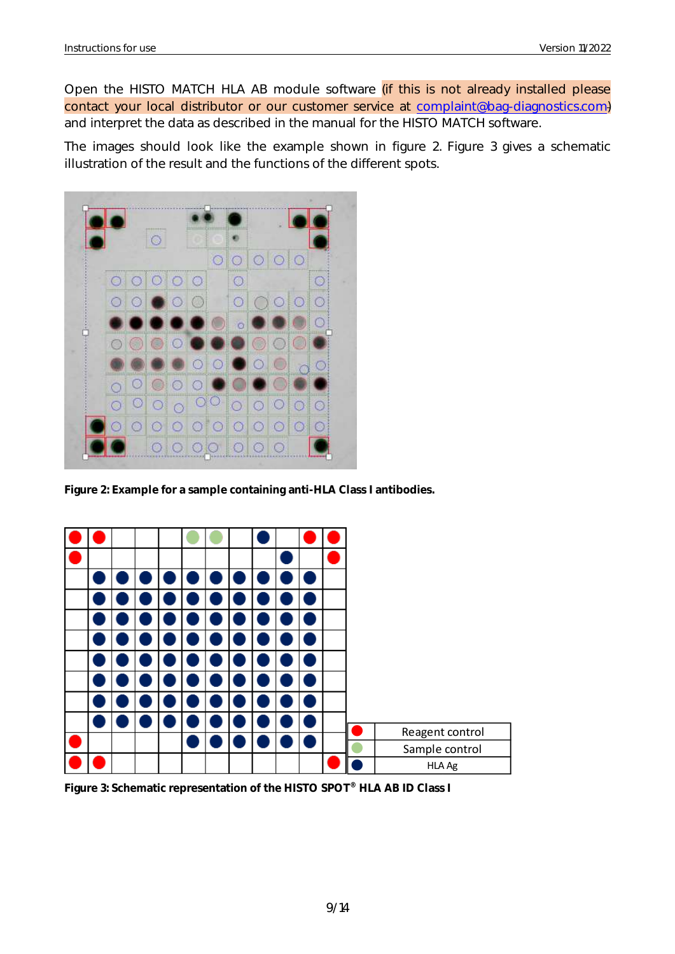Open the HISTO MATCH HLA AB module software *(if this is not already installed please* contact your local distributor or our customer service at [complaint@bag-diagnostics.com\)](mailto:complaint@bag-diagnostics.com) and interpret the data as described in the manual for the HISTO MATCH software.

The images should look like the example shown in figure 2. Figure 3 gives a schematic illustration of the result and the functions of the different spots.



**Figure 2: Example for a sample containing anti-HLA Class I antibodies.**



**Figure 3: Schematic representation of the HISTO SPOT® HLA AB ID Class I**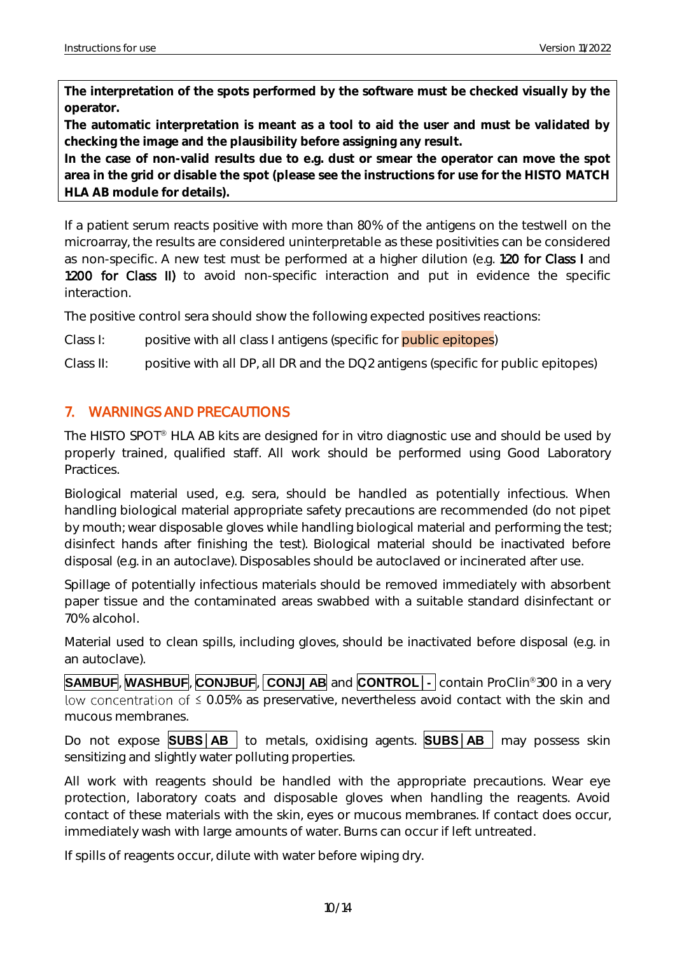**The interpretation of the spots performed by the software must be checked visually by the operator.** 

**The automatic interpretation is meant as a tool to aid the user and must be validated by checking the image and the plausibility before assigning any result.** 

**In the case of non-valid results due to e.g. dust or smear the operator can move the spot area in the grid or disable the spot (please see the instructions for use for the HISTO MATCH HLA AB module for details).** 

If a patient serum reacts positive with more than 80% of the antigens on the testwell on the microarray, the results are considered uninterpretable as these positivities can be considered as non-specific. A new test must be performed at a higher dilution (e.g. 1:20 for Class I and 1:200 for Class II) to avoid non-specific interaction and put in evidence the specific interaction.

The positive control sera should show the following expected positives reactions:

Class I: positive with all class I antigens (specific for public epitopes)

Class II: positive with all DP, all DR and the DQ2 antigens (specific for public epitopes)

#### <span id="page-10-0"></span>7. WARNINGS AND PRECAUTIONS

The HISTO SPOT<sup>®</sup> HLA AB kits are designed for in vitro diagnostic use and should be used by properly trained, qualified staff. All work should be performed using Good Laboratory Practices.

Biological material used, e.g. sera, should be handled as potentially infectious. When handling biological material appropriate safety precautions are recommended (do not pipet by mouth; wear disposable gloves while handling biological material and performing the test; disinfect hands after finishing the test). Biological material should be inactivated before disposal (e.g. in an autoclave). Disposables should be autoclaved or incinerated after use.

Spillage of potentially infectious materials should be removed immediately with absorbent paper tissue and the contaminated areas swabbed with a suitable standard disinfectant or 70% alcohol.

Material used to clean spills, including gloves, should be inactivated before disposal (e.g. in an autoclave).

**SAMBUF**, **WASHBUF, CONJBUF, CONJ| AB** and **CONTROL** | contain ProClin<sup>®</sup>300 in a very low concentration of  $\leq$  0.05% as preservative, nevertheless avoid contact with the skin and mucous membranes.

Do not expose **SUBS** | AB | to metals, oxidising agents. **SUBS** | AB | may possess skin sensitizing and slightly water polluting properties.

All work with reagents should be handled with the appropriate precautions. Wear eye protection, laboratory coats and disposable gloves when handling the reagents. Avoid contact of these materials with the skin, eyes or mucous membranes. If contact does occur, immediately wash with large amounts of water. Burns can occur if left untreated.

If spills of reagents occur, dilute with water before wiping dry.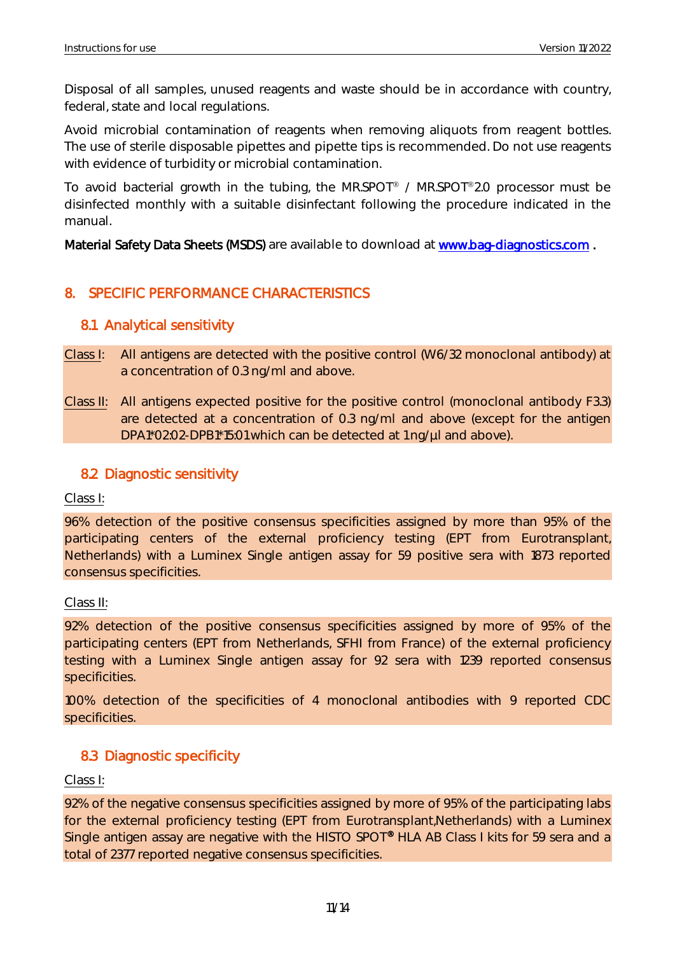Disposal of all samples, unused reagents and waste should be in accordance with country, federal, state and local regulations.

Avoid microbial contamination of reagents when removing aliquots from reagent bottles. The use of sterile disposable pipettes and pipette tips is recommended. Do not use reagents with evidence of turbidity or microbial contamination.

To avoid bacterial growth in the tubing, the MR.SPOT® / MR.SPOT®2.0 processor must be disinfected monthly with a suitable disinfectant following the procedure indicated in the manual.

Material Safety Data Sheets (MSDS) are available to download at www.bag-diagnostics.com.

#### <span id="page-11-0"></span>8. SPECIFIC PERFORMANCE CHARACTERISTICS

#### <span id="page-11-1"></span>8.1 Analytical sensitivity

- Class I: All antigens are detected with the positive control (W6/32 monoclonal antibody) at a concentration of 0.3 ng/ml and above.
- Class II: All antigens expected positive for the positive control (monoclonal antibody F3.3) are detected at a concentration of 0.3 ng/ml and above (except for the antigen DPA1\*02:02-DPB1\*15:01 which can be detected at 1 ng/µl and above).

#### <span id="page-11-2"></span>8.2 Diagnostic sensitivity

Class I:

96% detection of the positive consensus specificities assigned by more than 95% of the participating centers of the external proficiency testing (EPT from Eurotransplant, Netherlands) with a Luminex Single antigen assay for 59 positive sera with 1873 reported consensus specificities.

#### Class II:

92% detection of the positive consensus specificities assigned by more of 95% of the participating centers (EPT from Netherlands, SFHI from France) of the external proficiency testing with a Luminex Single antigen assay for 92 sera with 1239 reported consensus specificities.

100% detection of the specificities of 4 monoclonal antibodies with 9 reported CDC specificities.

#### <span id="page-11-3"></span>8.3 Diagnostic specificity

Class I:

92% of the negative consensus specificities assigned by more of 95% of the participating labs for the external proficiency testing (EPT from Eurotransplant,Netherlands) with a Luminex Single antigen assay are negative with the HISTO SPOT<sup>®</sup> HLA AB Class I kits for 59 sera and a total of 2377 reported negative consensus specificities.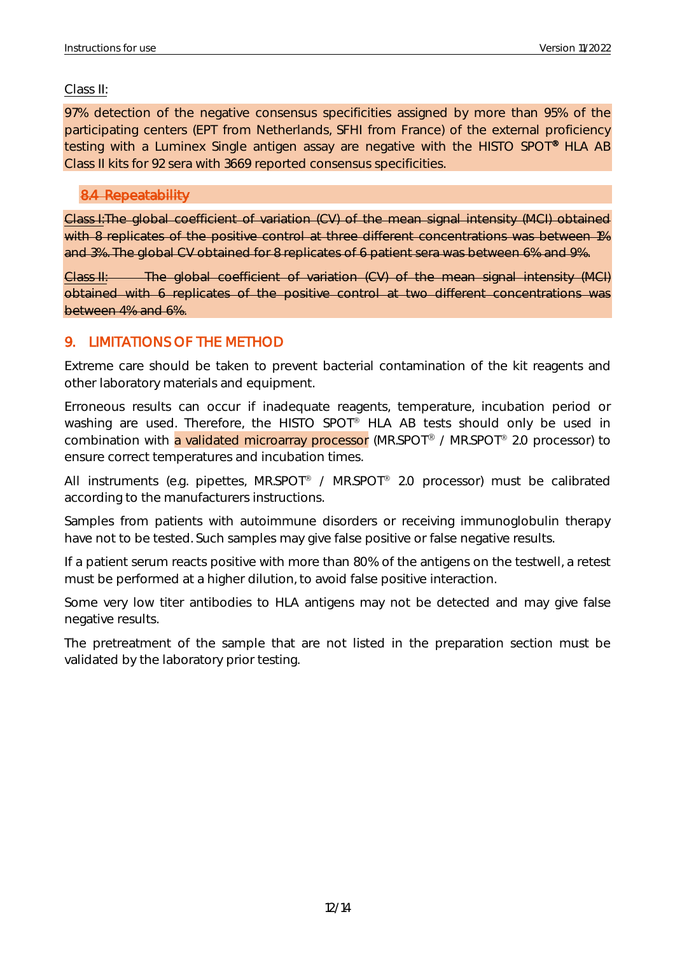#### Class II:

97% detection of the negative consensus specificities assigned by more than 95% of the participating centers (EPT from Netherlands, SFHI from France) of the external proficiency testing with a Luminex Single antigen assay are negative with the HISTO SPOT<sup>®</sup> HLA AB Class II kits for 92 sera with 3669 reported consensus specificities.

#### <span id="page-12-0"></span>8.4 Repeatability

Class I:The global coefficient of variation (CV) of the mean signal intensity (MCI) obtained with 8 replicates of the positive control at three different concentrations was between 1% and 3%. The global CV obtained for 8 replicates of 6 patient sera was between 6% and 9%.

Class II: The global coefficient of variation (CV) of the mean signal intensity (MCI) obtained with 6 replicates of the positive control at two different concentrations was between 4% and 6%.

#### <span id="page-12-1"></span>9. LIMITATIONS OF THE METHOD

Extreme care should be taken to prevent bacterial contamination of the kit reagents and other laboratory materials and equipment.

Erroneous results can occur if inadequate reagents, temperature, incubation period or washing are used. Therefore, the HISTO SPOT® HLA AB tests should only be used in combination with a validated microarray processor (MR.SPOT<sup>®</sup> / MR.SPOT<sup>®</sup> 2.0 processor) to ensure correct temperatures and incubation times.

All instruments (e.g. pipettes, MR.SPOT<sup>®</sup> / MR.SPOT<sup>®</sup> 2.0 processor) must be calibrated according to the manufacturers instructions.

Samples from patients with autoimmune disorders or receiving immunoglobulin therapy have not to be tested. Such samples may give false positive or false negative results.

If a patient serum reacts positive with more than 80% of the antigens on the testwell, a retest must be performed at a higher dilution, to avoid false positive interaction.

Some very low titer antibodies to HLA antigens may not be detected and may give false negative results.

The pretreatment of the sample that are not listed in the preparation section must be validated by the laboratory prior testing.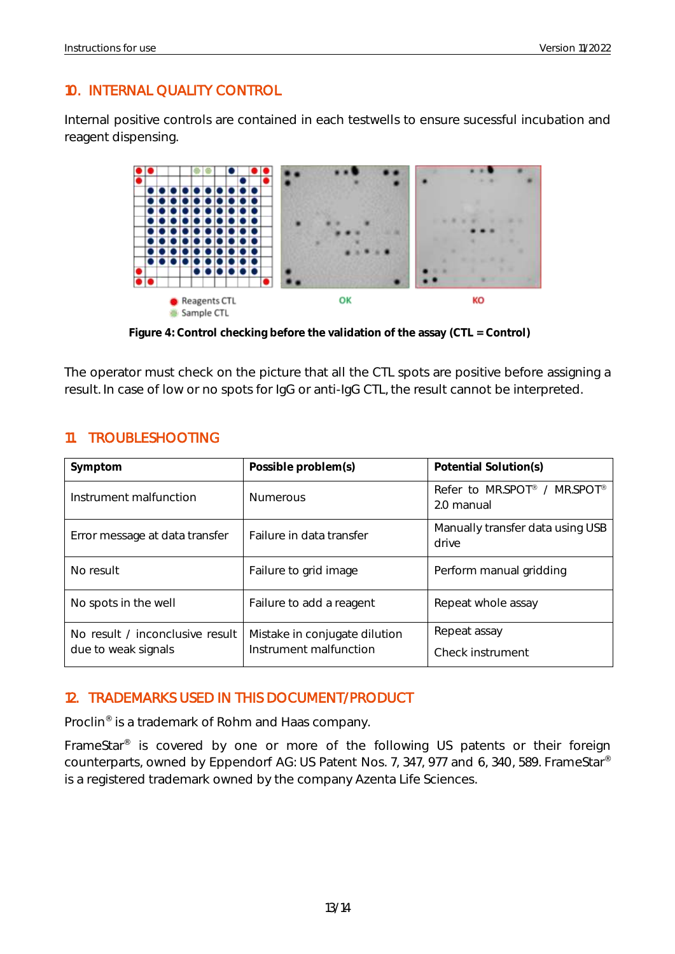#### <span id="page-13-0"></span>10. INTERNAL QUALITY CONTROL

Internal positive controls are contained in each testwells to ensure sucessful incubation and reagent dispensing.



**Figure 4: Control checking before the validation of the assay (CTL = Control)**

The operator must check on the picture that all the CTL spots are positive before assigning a result. In case of low or no spots for IgG or anti-IgG CTL, the result cannot be interpreted.

| Symptom                                                | Possible problem(s)                                     | Potential Solution(s)                      |
|--------------------------------------------------------|---------------------------------------------------------|--------------------------------------------|
| Instrument malfunction                                 | <b>Numerous</b>                                         | Refer to MR.SPOT® / MR.SPOT®<br>2.0 manual |
| Error message at data transfer                         | Failure in data transfer                                | Manually transfer data using USB<br>drive  |
| No result                                              | Failure to grid image                                   | Perform manual gridding                    |
| No spots in the well                                   | Failure to add a reagent                                | Repeat whole assay                         |
| No result / inconclusive result<br>due to weak signals | Mistake in conjugate dilution<br>Instrument malfunction | Repeat assay<br>Check instrument           |

#### <span id="page-13-1"></span>11. TROUBLESHOOTING

#### <span id="page-13-2"></span>12. TRADEMARKS USED IN THIS DOCUMENT/PRODUCT

Proclin<sup>®</sup> is a trademark of Rohm and Haas company.

FrameStar<sup>®</sup> is covered by one or more of the following US patents or their foreign counterparts, owned by Eppendorf AG: US Patent Nos. 7, 347, 977 and 6, 340, 589. FrameStar® is a registered trademark owned by the company Azenta Life Sciences.